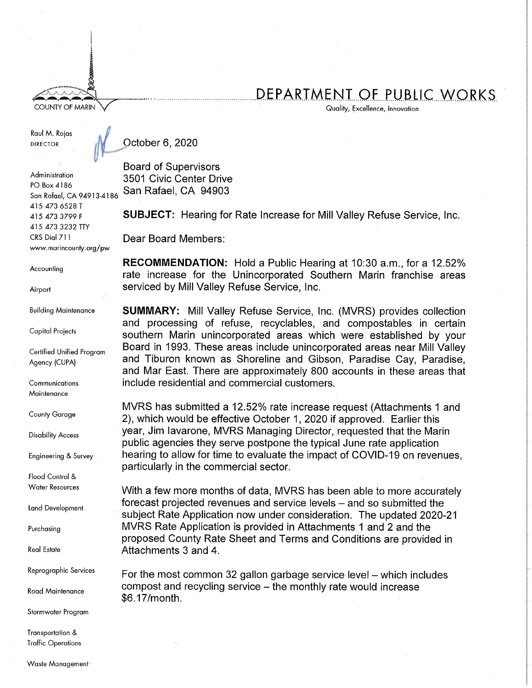## DEPARTMENT OF PUBLIC WORKS

Quality, Excellence, Innovation

Raul M. Rojas **DIRECTOR** 

**COUNTY OF MARIN** 

October 6, 2020

Administration PO Box 4186 San Rafael, CA 94913-4186 415 473 6528 T 415 473 3799 F 415 473 3232 TTY CRS Dial 711 www.marincounty.org/pw

Accounting

Airport

**Building Maintenance** 

**Capital Projects** 

Certified Unified Program Agency (CUPA)

Communications Maintenance

**County Garage** 

**Disability Access** 

Engineering & Survey

Flood Control & **Water Resources** 

**Land Development** 

Purchasing

**Real Estate** 

Reprographic Services

**Road Maintenance** 

Stormwater Program

Transportation & **Traffic Operations**  **Board of Supervisors** 

3501 Civic Center Drive San Rafael, CA 94903

SUBJECT: Hearing for Rate Increase for Mill Valley Refuse Service, Inc.

Dear Board Members:

**RECOMMENDATION:** Hold a Public Hearing at 10:30 a.m., for a 12.52% rate increase for the Unincorporated Southern Marin franchise areas serviced by Mill Valley Refuse Service, Inc.

**SUMMARY:** Mill Valley Refuse Service, Inc. (MVRS) provides collection and processing of refuse, recyclables, and compostables in certain southern Marin unincorporated areas which were established by your Board in 1993. These areas include unincorporated areas near Mill Valley and Tiburon known as Shoreline and Gibson, Paradise Cay, Paradise, and Mar East. There are approximately 800 accounts in these areas that include residential and commercial customers.

MVRS has submitted a 12.52% rate increase request (Attachments 1 and 2), which would be effective October 1, 2020 if approved. Earlier this year, Jim Iavarone, MVRS Managing Director, requested that the Marin public agencies they serve postpone the typical June rate application hearing to allow for time to evaluate the impact of COVID-19 on revenues. particularly in the commercial sector.

With a few more months of data, MVRS has been able to more accurately forecast projected revenues and service levels – and so submitted the subject Rate Application now under consideration. The updated 2020-21 MVRS Rate Application is provided in Attachments 1 and 2 and the proposed County Rate Sheet and Terms and Conditions are provided in Attachments 3 and 4.

For the most common 32 gallon garbage service level – which includes compost and recycling service - the monthly rate would increase \$6.17/month.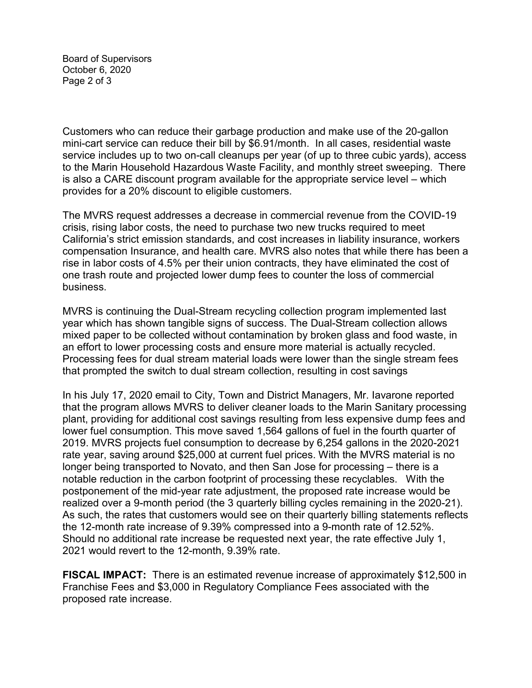Board of Supervisors October 6, 2020 Page 2 of 3

Customers who can reduce their garbage production and make use of the 20-gallon mini-cart service can reduce their bill by \$6.91/month. In all cases, residential waste service includes up to two on-call cleanups per year (of up to three cubic yards), access to the Marin Household Hazardous Waste Facility, and monthly street sweeping. There is also a CARE discount program available for the appropriate service level – which provides for a 20% discount to eligible customers.

The MVRS request addresses a decrease in commercial revenue from the COVID-19 crisis, rising labor costs, the need to purchase two new trucks required to meet California's strict emission standards, and cost increases in liability insurance, workers compensation Insurance, and health care. MVRS also notes that while there has been a rise in labor costs of 4.5% per their union contracts, they have eliminated the cost of one trash route and projected lower dump fees to counter the loss of commercial business.

MVRS is continuing the Dual-Stream recycling collection program implemented last year which has shown tangible signs of success. The Dual-Stream collection allows mixed paper to be collected without contamination by broken glass and food waste, in an effort to lower processing costs and ensure more material is actually recycled. Processing fees for dual stream material loads were lower than the single stream fees that prompted the switch to dual stream collection, resulting in cost savings

In his July 17, 2020 email to City, Town and District Managers, Mr. Iavarone reported that the program allows MVRS to deliver cleaner loads to the Marin Sanitary processing plant, providing for additional cost savings resulting from less expensive dump fees and lower fuel consumption. This move saved 1,564 gallons of fuel in the fourth quarter of 2019. MVRS projects fuel consumption to decrease by 6,254 gallons in the 2020-2021 rate year, saving around \$25,000 at current fuel prices. With the MVRS material is no longer being transported to Novato, and then San Jose for processing – there is a notable reduction in the carbon footprint of processing these recyclables. With the postponement of the mid-year rate adjustment, the proposed rate increase would be realized over a 9-month period (the 3 quarterly billing cycles remaining in the 2020-21). As such, the rates that customers would see on their quarterly billing statements reflects the 12-month rate increase of 9.39% compressed into a 9-month rate of 12.52%. Should no additional rate increase be requested next year, the rate effective July 1, 2021 would revert to the 12-month, 9.39% rate.

**FISCAL IMPACT:** There is an estimated revenue increase of approximately \$12,500 in Franchise Fees and \$3,000 in Regulatory Compliance Fees associated with the proposed rate increase.